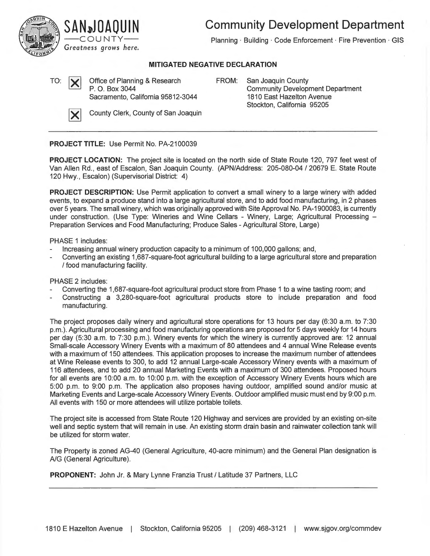**Community Development Department** 



Planning · Building · Code Enforcement · Fire Prevention · GIS

## **MITIGATED NEGATIVE DECLARATION**

TO:  $\sum_{P. O. \text{Box}}$  Office of Planning & Research Sacramento, California 95812-3044 **FROM:** San Joaquin County Community Development Department 1810 East Hazelton Avenue Stockton, California 95205



**County Clerk, County of San Joaquin** 

**PROJECT TITLE:** Use Permit No. PA-2100039

**PROJECT LOCATION:** The project site is located on the north side of State Route 120, 797 feet west of Van Allen Rd. , east of Escalon, San Joaquin County. (APN/Address: 205-080-04 / 20679 E. State Route 120 Hwy., Escalon) (Supervisorial District: 4)

**PROJECT DESCRIPTION:** Use Permit application to convert a small winery to a large winery with added events, to expand a produce stand into a large agricultural store, and to add food manufacturing, in 2 phases over 5 years. The small winery, which was originally approved with Site Approval No. PA-1900083, is currently under construction. (Use Type: Wineries and Wine Cellars - Winery, Large; Agricultural Processing -Preparation Services and Food Manufacturing; Produce Sales - Agricultural Store, Large)

PHASE 1 includes:

- Increasing annual winery production capacity to a minimum of 100,000 gallons; and,
- Converting an existing 1,687-square-foot agricultural building to a large agricultural store and preparation / food manufacturing facility.

PHASE 2 includes:

- Converting the 1,687-square-foot agricultural product store from Phase 1 to a wine tasting room; and
- Constructing a 3,280-square-foot agricultural products store to include preparation and food manufacturing.

The project proposes daily winery and agricultural store operations for 13 hours per day (6:30 a.m. to 7:30 p.m.). Agricultural processing and food manufacturing operations are proposed for 5 days weekly for 14 hours per day (5:30 a.m. to 7:30 p.m.). Winery events for which the winery is currently approved are: 12 annual Small-scale Accessory Winery Events with a maximum of 80 attendees and 4 annual Wine Release events with a maximum of 150 attendees. This application proposes to increase the maximum number of attendees at Wine Release events to 300, to add 12 annual Large-scale Accessory Winery events with a maximum of 116 attendees, and to add 20 annual Marketing Events with a maximum of 300 attendees. Proposed hours for all events are 10:00 a.m. to 10:00 p.m. with the exception of Accessory Winery Events hours which are 5:00 p.m. to 9:00 p.m. The application also proposes having outdoor, amplified sound and/or music at Marketing Events and Large-scale Accessory Winery Events. Outdoor amplified music must end by 9:00 p.m. All events with 150 or more attendees will utilize portable toilets.

The project site is accessed from State Route 120 Highway and services are provided by an existing on-site well and septic system that will remain in use. An existing storm drain basin and rainwater collection tank will be utilized for storm water.

The Property is zoned AG-40 (General Agriculture, 40-acre minimum) and the General Plan designation is A/G (General Agriculture).

**PROPONENT:** John Jr. & Mary Lynne Franzia Trust/ Latitude 37 Partners, LLC